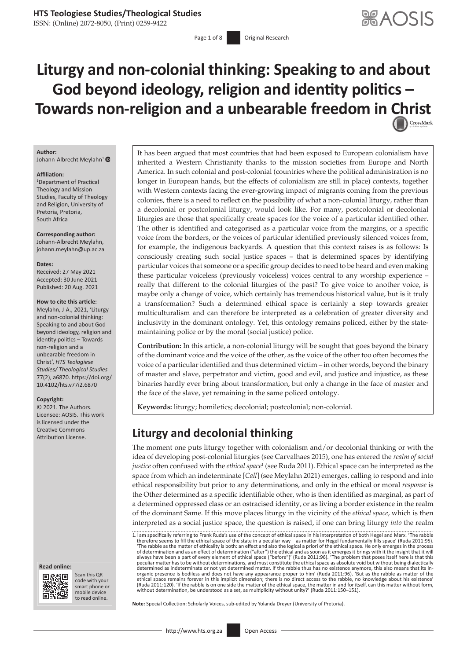ISSN: (Online) 2072-8050, (Print) 0259-9422

Page 1 of 8 **Original Research** 

# **Liturgy and non-colonial thinking: Speaking to and about God beyond ideology, religion and identity politics – Towards non-religion and a unbearable freedom in [Christ](http://crossmark.crossref.org/dialog/?doi=10.4102/hts.v77i2.6870=pdf&date_stamp=2021-08-20)**

#### **Author:**

Johann-Albrecht Meylahn<sup>[1](http://orcid.org/0000-0003-1460-9338)</sup>

#### **Affiliation:**

1 Department of Practical Theology and Mission Studies, Faculty of Theology and Religion, University of Pretoria, Pretoria, South Africa

**Corresponding author:** Johann-Albrecht Meylahn, [johann.meylahn@up.ac.za](mailto:johann.meylahn@up.ac.za)

#### **Dates:**

Received: 27 May 2021 Accepted: 30 June 2021 Published: 20 Aug. 2021

#### **How to cite this article:**

Meylahn, J-A., 2021, 'Liturgy and non-colonial thinking: Speaking to and about God beyond ideology, religion and identity politics – Towards non-religion and a unbearable freedom in Christ', *HTS Teologiese Studies/ Theological Studies* 77(2), a6870. [https://doi.org/](https://doi.org/ 10.4102/hts.v77i2.6870)  [10.4102/hts.v77i2.6870](https://doi.org/ 10.4102/hts.v77i2.6870)

#### **Copyright:**

© 2021. The Authors. Licensee: AOSIS. This work is licensed under the Creative Commons

#### **Read online: Read online:**



Scan this QR code with your Scan this QR<br>code with your<br>smart phone or<br>mobile device mobile device to read online. to read online.

It has been argued that most countries that had been exposed to European colonialism have inherited a Western Christianity thanks to the mission societies from Europe and North America. In such colonial and post-colonial (countries where the political administration is no longer in European hands, but the effects of colonialism are still in place) contexts, together with Western contexts facing the ever-growing impact of migrants coming from the previous colonies, there is a need to reflect on the possibility of what a non-colonial liturgy, rather than a decolonial or postcolonial liturgy, would look like. For many, postcolonial or decolonial liturgies are those that specifically create spaces for the voice of a particular identified other. The other is identified and categorised as a particular voice from the margins, or a specific voice from the borders, or the voices of particular identified previously silenced voices from, for example, the indigenous backyards. A question that this context raises is as follows: Is consciously creating such social justice spaces – that is determined spaces by identifying particular voices that someone or a specific group decides to need to be heard and even making these particular voiceless (previously voiceless) voices central to any worship experience – really that different to the colonial liturgies of the past? To give voice to another voice, is maybe only a change of voice, which certainly has tremendous historical value, but is it truly a transformation? Such a determined ethical space is certainly a step towards greater multiculturalism and can therefore be interpreted as a celebration of greater diversity and inclusivity in the dominant ontology. Yet, this ontology remains policed, either by the statemaintaining police or by the moral (social justice) police.

**Contribution:** In this article, a non-colonial liturgy will be sought that goes beyond the binary of the dominant voice and the voice of the other, as the voice of the other too often becomes the voice of a particular identified and thus determined victim – in other words, beyond the binary of master and slave, perpetrator and victim, good and evil, and justice and injustice, as these binaries hardly ever bring about transformation, but only a change in the face of master and the face of the slave, yet remaining in the same policed ontology.

**Keywords:** liturgy; homiletics; decolonial; postcolonial; non-colonial.

# Attribution License. **Liturgy and decolonial thinking**

The moment one puts liturgy together with colonialism and/or decolonial thinking or with the idea of developing post-colonial liturgies (see Carvalhaes 2015), one has entered the *realm of social*  justice often confused with the *ethical space*<sup>1</sup> (see Ruda 2011). Ethical space can be interpreted as the space from which an indeterminate [*Call*] (see Meylahn 2021) emerges, calling to respond and into ethical responsibility but prior to any determinations, and only in the ethical or moral *response* is the Other determined as a specific identifiable other, who is then identified as marginal, as part of a determined oppressed class or an ostracised identity, or as living a border existence in the realm of the dominant Same. If this move places liturgy in the vicinity of the *ethical space*, which is then interpreted as a social justice space, the question is raised, if one can bring liturgy *into* the realm

**Note:** Special Collection: Scholarly Voices, sub-edited by Yolanda Dreyer (University of Pretoria).

<sup>1.</sup>I am specifically referring to Frank Ruda's use of the concept of ethical space in his interpretation of both Hegel and Marx. 'The rabble therefore seems to fill the ethical space of the state in a peculiar way – as matter for Hegel fundamentally fills space' (Ruda 2011:95).<br>'The rabble as the matter of ethicality is both: an effect and also the logical a pr peculiar matter has to be without determinations, and must constitute the ethical space as absolute void but without being dialectically determined as indeterminate or not yet determined matter. If the rabble thus has no existence anymore, this also means that its in-<br>organic presence is bodiless and does not have any appearance proper to him' (Ruda 2011:96 ethical space remains forever in this implicit dimension; there is no direct access to the rabble, no knowledge about his existence' (Ruda 2011:120). 'If the rabble is on one side the matter of the ethical space, the matter in and for itself, can this matter without form, without determination, be understood as a set, as multiplicity without unity?' (Ruda 2011:150–151).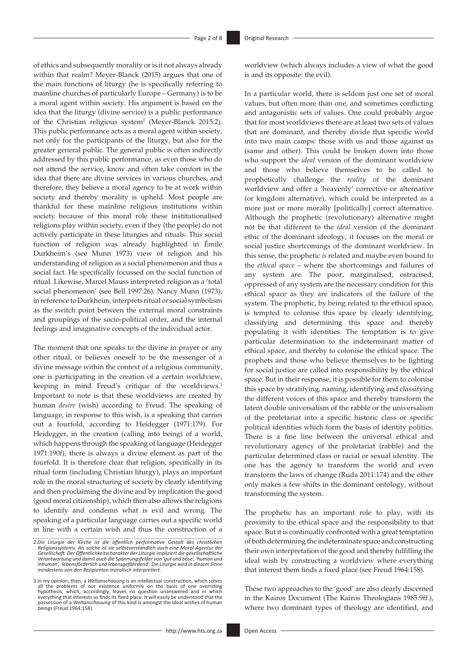of ethics and subsequently morality or is it not always already within that realm? Meyer-Blanck (2015) argues that one of the main functions of liturgy (he is specifically referring to mainline churches of particularly Europe – Germany) is to be a moral agent within society. His argument is based on the idea that the liturgy (divine service) is a public performance of the Christian religious system<sup>2</sup> (Meyer-Blanck 2015:2). This public performance acts as a moral agent within society, not only for the participants of the liturgy, but also for the greater general public. The general public is often indirectly addressed by this public performance, as even those who do not attend the service, know and often take comfort in the idea that there are divine services in various churches, and therefore, they believe a moral agency to be at work within society and thereby morality is upheld. Most people are thankful for these mainline religious institutions within society because of this moral role these institutionalised religions play within society, even if they (the people) do not actively participate in these liturgies and rituals. This social function of religion was already highlighted in Émile Durkheim's (see Munn 1973) view of religion and his understanding of religion as a social phenomenon and thus a social fact. He specifically focussed on the social function of ritual. Likewise, Marcel Mauss interpreted religion as a 'total social phenomenon' (see Bell 1997:26). Nancy Munn (1973), in reference to Durkheim, interprets ritual or social symbolism as the switch point between the external moral constraints and groupings of the socio-political order, and the internal feelings and imaginative concepts of the individual actor.

The moment that one speaks to the divine in prayer or any other ritual, or believes oneself to be the messenger of a divine message within the context of a religious community, one is participating in the creation of a certain worldview, keeping in mind Freud's critique of the worldviews.<sup>3</sup> Important to note is that these worldviews are created by human *desire* (wish) according to Freud. The speaking of language, in response to this wish, is a speaking that carries out a fourfold, according to Heidegger (1971:179). For Heidegger, in the creation (calling into being) of a world, which happens through the speaking of language (Heidegger 1971:190f), there is always a divine element as part of the fourfold. It is therefore clear that religion, specifically in its ritual form (including Christian liturgy), plays an important role in the moral structuring of society by clearly identifying and then proclaiming the divine and by implication the good (good moral citizenship), which then also allows the religions to identify and condemn what is evil and wrong. The speaking of a particular language carries out a specific world in line with a certain wish and thus the construction of a

worldview (which always includes a view of what the good is and its opposite: the evil).

In a particular world, there is seldom just one set of moral values, but often more than one, and sometimes conflicting and antagonistic sets of values. One could probably argue that for most worldviews there are at least two sets of values that are dominant, and thereby divide that specific world into two main camps: those with us and those against us (same and other). This could be broken down into those who support the *ideal* version of the dominant worldview and those who believe themselves to be called to prophetically challenge the *reality* of the dominant worldview and offer a 'heavenly' corrective or alternative (or kingdom alternative), which could be interpreted as a more just or more morally [politically] correct alternative. Although the prophetic (revolutionary) alternative might not be that different to the *ideal* version of the dominant ethic of the dominant ideology, it focuses on the moral or social justice shortcomings of the dominant worldview. In this sense, the prophetic *is* related and maybe even bound to the *ethical space* – where the shortcomings and failures of any system are. The poor, marginalised, ostracised, oppressed of any system are the necessary condition for this ethical space as they are indicators of the failure of the system. The prophetic, by being related to the ethical space, is tempted to colonise this space by clearly identifying, classifying and determining this space and thereby populating it with identities. The temptation is to give particular determination to the indeterminant matter of ethical space, and thereby to colonise the ethical space. The prophets and those who believe themselves to be fighting for social justice are called into responsibility by the ethical space. But in their response, it is possible for them to colonise this space by stratifying, naming, identifying and classifying the different voices of this space and thereby transform the latent double universalism of the rabble or the universalism of the proletariat into a specific historic class or specific political identities which form the basis of identity politics. There is a fine line between the universal ethical and revolutionary agency of the proletariat (rabble) and the particular determined class or racial or sexual identity. The one has the agency to transform the world and even transform the laws of change (Ruda 2011:174) and the other only makes a few shifts in the dominant ontology, without transforming the system.

The prophetic has an important role to play, with its proximity to the ethical space and the responsibility to that space. But it is continually confronted with a great temptation of both determining the indeterminate space and constructing their own interpretation of the good and thereby fulfilling the ideal wish by constructing a worldview where everything that interest them finds a fixed place (see Freud 1964:158).

These two approaches to the 'good' are also clearly discerned in the Kairos Document (The Kairos Theologians 1985:9ff.), where two dominant types of theology are identified, and

<sup>2.</sup>*Die Liturgie der Kirche ist die öffentlich performative Gestalt des christlichen Religionssystems. Als solche ist sie selbstverständlich auch eine Moral-Agentur der*  Gesellschaft. Der Öffentlichkeitscharakter der Liturgie impliziert die gesellschaftliche<br>Verantwortung und damit auch die Spannungsfelder von 'gut und böse', 'human und<br>inhuman', 'lebensförderlich und lebensgefährdend'. Di

<sup>3.</sup>In my opinion, then, a *Weltanschauung* is an intellectual construction, which solves all the problems of our existence uniformly on the basis of one overriding<br>hypothesis, which, accordingly, leaves no question unanswered and in which<br>everything that interests usfindsits fixed place. It will easily be unde possession of a *Weltanschauung* of this kind is amongst the ideal wishes of human beings (Freud 1964:158).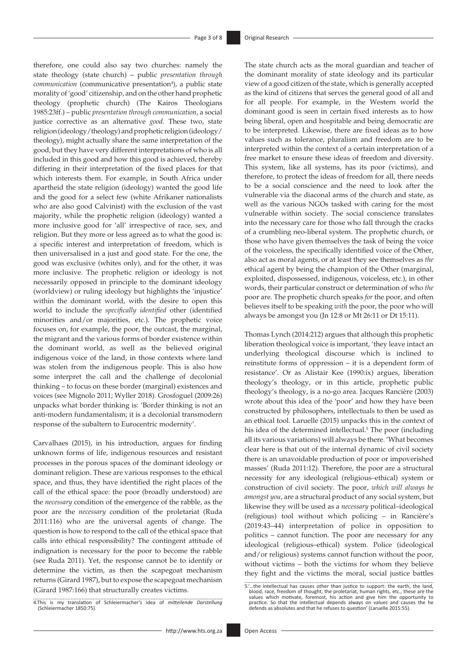therefore, one could also say two churches: namely the state theology (state church) – public *presentation through communication* (communicative presentation<sup>4</sup>), a public state morality of 'good' citizenship, and on the other hand prophetic theology (prophetic church) (The Kairos Theologians 1985:23ff.) – public *presentation through communication*, a social justice corrective as an alternative *good*. These two, state religion (ideology/theology) and prophetic religion (ideology/ theology), might actually share the same interpretation of the good, but they have very different interpretations of who is all included in this good and how this good is achieved, thereby differing in their interpretation of the fixed places for that which interests them. For example, in South Africa under apartheid the state religion (ideology) wanted the good life and the good for a select few (white Afrikaner nationalists who are also good Calvinist) with the exclusion of the vast majority, while the prophetic religion (ideology) wanted a more inclusive good for 'all' irrespective of race, sex, and religion. But they more or less agreed as to what the good is: a specific interest and interpretation of freedom, which is then universalised in a just and good state. For the one, the good was exclusive (whites only), and for the other, it was more inclusive. The prophetic religion or ideology is not necessarily opposed in principle to the dominant ideology (worldview) or ruling ideology but highlights the 'injustice' within the dominant world, with the desire to open this world to include the *specifically identified* other (identified minorities and/or majorities, etc.). The prophetic voice focuses on, for example, the poor, the outcast, the marginal, the migrant and the various forms of border existence within the dominant world, as well as the believed original indigenous voice of the land, in those contexts where land was stolen from the indigenous people. This is also how some interpret the call and the challenge of decolonial thinking – to focus on these border (marginal) existences and voices (see Mignolo 2011; Wyller 2018). Grosfoguel (2009:26) unpacks what border thinking is: 'Border thinking is not an anti-modern fundamentalism; it is a decolonial transmodern response of the subaltern to Eurocentric modernity'.

Carvalhaes (2015), in his introduction, argues for finding unknown forms of life, indigenous resources and resistant processes in the porous spaces of the dominant ideology or dominant religion. These are various responses to the ethical space, and thus, they have identified the right places of the call of the ethical space: the poor (broadly understood) are the *necessary* condition of the emergence of the rabble, as the poor are the *necessary* condition of the proletariat (Ruda 2011:116) who are the universal agents of change. The question is how to respond to the call of the ethical space that calls into ethical responsibility? The contingent attitude of indignation is necessary for the poor to become the rabble (see Ruda 2011). Yet, the response cannot be to identify or determine the victim, as then the scapegoat mechanism returns (Girard 1987), but to expose the scapegoat mechanism (Girard 1987:166) that structurally creates victims.

The state church acts as the moral guardian and teacher of the dominant morality of state ideology and its particular view of a good citizen of the state, which is generally accepted as the kind of citizens that serves the general good of all and for all people. For example, in the Western world the dominant good is seen in certain fixed interests as to how being liberal, open and hospitable and being democratic are to be interpreted. Likewise, there are fixed ideas as to how values such as tolerance, pluralism and freedom are to be interpreted within the context of a certain interpretation of a free market to ensure these ideas of freedom and diversity. This system, like all systems, has its poor (victims), and therefore, to protect the ideas of freedom for all, there needs to be a social conscience and the need to look after the vulnerable via the diaconal arms of the church and state, as well as the various NGOs tasked with caring for the most vulnerable within society. The social conscience translates into the necessary care for those who fall through the cracks of a crumbling neo-liberal system. The prophetic church, or those who have given themselves the task of being the voice of the voiceless, the specifically identified voice of the Other, also act as moral agents, or at least they see themselves as *the* ethical agent by being the champion of the Other (marginal, exploited, dispossessed, indigenous, voiceless, etc.), in other words, their particular construct or determination of who *the* poor are. The prophetic church speaks *for* the poor, and often believes itself to be speaking *with* the poor, the poor who will always be amongst you (Jn 12:8 or Mt 26:11 or Dt 15:11).

Thomas Lynch (2014:212) argues that although this prophetic liberation theological voice is important, 'they leave intact an underlying theological discourse which is inclined to reinstitute forms of oppression – it is a dependent form of resistance'. Or as Alistair Kee (1990:ix) argues, liberation theology's theology, or in this article, prophetic public theology's theology, is a no-go area. Jacques Rancière (2003) wrote about this idea of the 'poor' and how they have been constructed by philosophers, intellectuals to then be used as an ethical tool. Laruelle (2015) unpacks this in the context of his idea of the determined intellectual.<sup>5</sup> The poor (including all its various variations) will always be there. 'What becomes clear here is that out of the internal dynamic of civil society there is an unavoidable production of poor or impoverished masses' (Ruda 2011:12). Therefore, the poor are a structural necessity for any ideological (religious–ethical) system or construction of civil society. The poor, *which will always be amongst you*, are a structural product of any social system, but likewise they will be used as a *necessary* political–ideological (religious) tool without which policing – in Rancière's (2019:43–44) interpretation of police in opposition to politics – cannot function. The poor are necessary for any ideological (religious–ethical) system. Police (ideological and/or religious) systems cannot function without the poor, without victims – both the victims for whom they believe they fight and the victims the moral, social justice battles

<sup>4.</sup>This is my translation of Schleiermacher's idea of *mitteilende Darstellung* (Schleiermacher 1850:75).

<sup>5.&#</sup>x27;…the intellectual has causes other than justice to support: the earth, the land, blood, race, freedom of thought, the proletariat, human rights, etc., these are the values which motivate, foremost, his action and give him the opportunity to<br>practice. So that the intellectual depends always on values and causes the he<br>defends as absolutes and that he refuses to question' (Laruelle 2015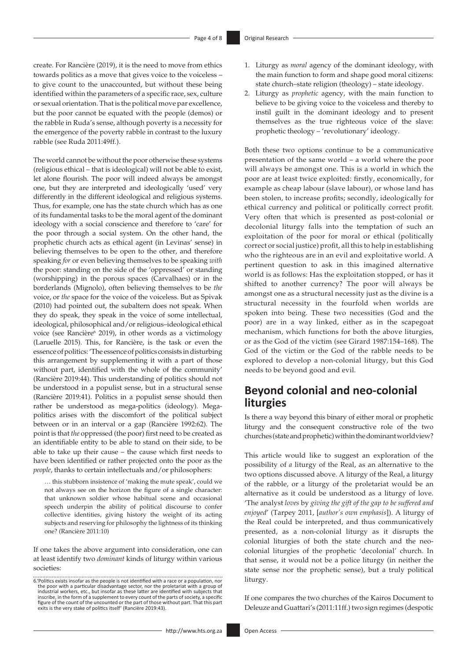create. For Rancière (2019), it is the need to move from ethics towards politics as a move that gives voice to the voiceless – to give count to the unaccounted, but without these being identified within the parameters of a specific race, sex, culture or sexual orientation. That is the political move par excellence, but the poor cannot be equated with the people (demos) or the rabble in Ruda's sense, although poverty is a necessity for the emergence of the poverty rabble in contrast to the luxury rabble (see Ruda 2011:49ff.).

The world cannot be without the poor otherwise these systems (religious ethical – that is ideological) will not be able to exist, let alone flourish. The poor will indeed always be amongst one, but they are interpreted and ideologically 'used' very differently in the different ideological and religious systems. Thus, for example, one has the state church which has as one of its fundamental tasks to be the moral agent of the dominant ideology with a social conscience and therefore to 'care' for the poor through a social system. On the other hand, the prophetic church acts as ethical agent (in Levinas' sense) in believing themselves to be open to the other, and therefore speaking *for* or even believing themselves to be speaking *with* the poor: standing on the side of the 'oppressed' or standing (worshipping) in the porous spaces (Carvalhaes) or in the borderlands (Mignolo), often believing themselves to be *the* voice, or *the* space for the voice of the voiceless. But as Spivak (2010) had pointed out, the subaltern does not speak. When they do speak, they speak in the voice of some intellectual, ideological, philosophical and/or religious–ideological ethical voice (see Rancière<sup>6</sup> 2019), in other words as a victimology (Laruelle 2015). This, for Rancière, is the task or even the essence of politics: 'The essence of politics consists in disturbing this arrangement by supplementing it with a part of those without part, identified with the whole of the community' (Rancière 2019:44). This understanding of politics should not be understood in a populist sense, but in a structural sense (Rancière 2019:41). Politics in a populist sense should then rather be understood as mega-politics (ideology). Megapolitics arises with the discomfort of the political subject between or in an interval or a gap (Rancière 1992:62). The point is that *the* oppressed (the poor) first need to be created as an identifiable entity to be able to stand on their side, to be able to take up their cause – the cause which first needs to have been identified or rather projected onto the poor as the *people*, thanks to certain intellectuals and/or philosophers:

… this stubborn insistence of 'making the mute speak', could we not always see on the horizon the figure of a single character: that unknown soldier whose habitual scene and occasional speech underpin the ability of political discourse to confer collective identities, giving history the weight of its acting subjects and reserving for philosophy the lightness of its thinking one? (Rancière 2011:10)

If one takes the above argument into consideration, one can at least identify two *dominant* kinds of liturgy within various societies:

- 1. Liturgy as *moral* agency of the dominant ideology, with the main function to form and shape good moral citizens: state church–state religion (theology) – state ideology.
- 2. Liturgy as *prophetic* agency, with the main function to believe to be giving voice to the voiceless and thereby to instil guilt in the dominant ideology and to present themselves as the true righteous voice of the slave: prophetic theology – 'revolutionary' ideology.

Both these two options continue to be a communicative presentation of the same world – a world where the poor will always be amongst one. This is a world in which the poor are at least twice exploited: firstly, economically, for example as cheap labour (slave labour), or whose land has been stolen, to increase profits; secondly, ideologically for ethical currency and political or politically correct profit. Very often that which is presented as post-colonial or decolonial liturgy falls into the temptation of such an exploitation of the poor for moral or ethical (politically correct or social justice) profit, all this to help in establishing who the righteous are in an evil and exploitative world. A pertinent question to ask in this imagined alternative world is as follows: Has the exploitation stopped, or has it shifted to another currency? The poor will always be amongst one as a structural necessity just as the divine is a structural necessity in the fourfold when worlds are spoken into being. These two necessities (God and the poor) are in a way linked, either as in the scapegoat mechanism, which functions for both the above liturgies, or as the God of the victim (see Girard 1987:154–168). The God of the victim or the God of the rabble needs to be explored to develop a non-colonial liturgy, but this God needs to be beyond good and evil.

# **Beyond colonial and neo-colonial liturgies**

Is there a way beyond this binary of either moral or prophetic liturgy and the consequent constructive role of the two churches (state and prophetic) within the dominant worldview?

This article would like to suggest an exploration of the possibility of *a* liturgy of the Real, as an alternative to the two options discussed above. A liturgy of the Real, a liturgy of the rabble, or a liturgy of the proletariat would be an alternative as it could be understood as a liturgy of love. 'The analyst *loves* by *giving the gift of the gap to be suffered and enjoyed*' (Tarpey 2011, [*author's own emphasis*]). A liturgy of the Real could be interpreted, and thus communicatively presented, as a non-colonial liturgy as it disrupts the colonial liturgies of both the state church and the neocolonial liturgies of the prophetic 'decolonial' church. In that sense, it would not be a police liturgy (in neither the state sense nor the prophetic sense), but a truly political liturgy.

If one compares the two churches of the Kairos Document to Deleuze and Guattari's (2011:11ff.) two sign regimes (despotic

<sup>6.&#</sup>x27;Politics exists insofar as the people is not identified with a race or a population, nor the poor with a particular disadvantage sector, nor the proletariat with a group of industrial workers, etc., but insofar as these latter are identified with subjects that inscribe, in the form of a supplement to every count of the parts of society, a specific<br>figure of the count of the uncounted or the part of those without part. That this part<br>exits is the very stake of politics itself' (R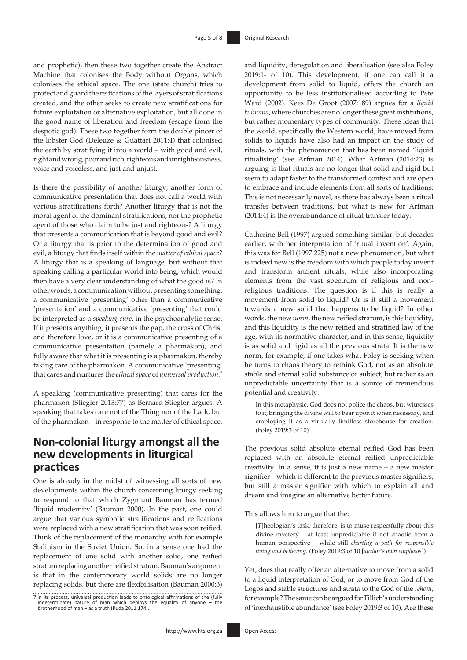and prophetic), then these two together create the Abstract Machine that colonises the Body without Organs, which colonises the ethical space. The one (state church) tries to protect and guard the reifications of the layers of stratifications created, and the other seeks to create new stratifications for future exploitation or alternative exploitation, but all done in the good name of liberation and freedom (escape from the despotic god). These two together form the double pincer of the lobster God (Deleuze & Guattari 2011:4) that colonised the earth by stratifying it into a world – with good and evil, right and wrong, poor and rich, righteous and unrighteousness, voice and voiceless, and just and unjust.

Is there the possibility of another liturgy, another form of communicative presentation that does not call a world with various stratifications forth? Another liturgy that is not the moral agent of the dominant stratifications, nor the prophetic agent of those who claim to be just and righteous? A liturgy that presents a communication that is beyond good and evil? Or a liturgy that is prior to the determination of good and evil, a liturgy that finds itself within the *matter of ethical space*? A liturgy that is a speaking of language, but without that speaking calling a particular world into being, which would then have a very clear understanding of what the good is? In other words, a communication without presenting something, a communicative 'presenting' other than a communicative 'presentation' and a communicative 'presenting' that could be interpreted as a *speaking cure*, in the psychoanalytic sense. If it presents anything, it presents the gap, the cross of Christ and therefore love, or it is a communicative presenting of a communicative presentation (namely a pharmakon), and fully aware that what it is presenting is a pharmakon, thereby taking care of the pharmakon. A communicative 'presenting' that cares and nurtures the *ethical space* of *universal production.*<sup>7</sup>

A speaking (communicative presenting) that cares for the pharmakon (Stiegler 2013:77) as Bernard Stiegler argues. A speaking that takes care not of the Thing nor of the Lack, but of the pharmakon – in response to the matter of ethical space.

# **Non-colonial liturgy amongst all the new developments in liturgical practices**

One is already in the midst of witnessing all sorts of new developments within the church concerning liturgy seeking to respond to that which Zygmunt Bauman has termed 'liquid modernity' (Bauman 2000). In the past, one could argue that various symbolic stratifications and reifications were replaced with a new stratification that was soon reified. Think of the replacement of the monarchy with for example Stalinism in the Soviet Union. So, in a sense one had the replacement of one solid with another solid, one reified stratum replacing another reified stratum. Bauman's argument is that in the contemporary world solids are no longer replacing solids, but there are flexibilisation (Bauman 2000:3)

and liquidity, deregulation and liberalisation (see also Foley 2019:1- of 10). This development, if one can call it a development from solid to liquid, offers the church an opportunity to be less institutionalised according to Pete Ward (2002). Kees De Groot (2007:189) argues for a *liquid koinonia*, where churches are no longer these great institutions, but rather momentary types of community. These ideas that the world, specifically the Western world, have moved from solids to liquids have also had an impact on the study of rituals, with the phenomenon that has been named 'liquid ritualising' (see Arfman 2014). What Arfman (2014:23) is arguing is that rituals are no longer that solid and rigid but seem to adapt faster to the transformed context and are open to embrace and include elements from all sorts of traditions. This is not necessarily novel, as there has always been a ritual transfer between traditions, but what is new for Arfman (2014:4) is the overabundance of ritual transfer today.

Catherine Bell (1997) argued something similar, but decades earlier, with her interpretation of 'ritual invention'. Again, this was for Bell (1997:225) not a new phenomenon, but what is indeed new is the freedom with which people today invent and transform ancient rituals, while also incorporating elements from the vast spectrum of religious and nonreligious traditions. The question is if this is really a movement from solid to liquid? Or is it still a movement towards a new solid that happens to be liquid? In other words, the new *norm*, the new reified stratum, is this liquidity, and this liquidity is the new reified and stratified law of the age, with its normative character, and in this sense, liquidity is as solid and rigid as all the previous strata. It is the new norm, for example, if one takes what Foley is seeking when he turns to chaos theory to rethink God, not as an absolute stable and eternal solid substance or subject, but rather as an unpredictable uncertainty that is a source of tremendous potential and creativity:

In this metaphysic, God does not police the chaos, but witnesses to it, bringing the divine will to bear upon it when necessary, and employing it as a virtually limitless storehouse for creation. (Foley 2019:3 of 10)

The previous solid absolute eternal reified God has been replaced with an absolute eternal reified unpredictable creativity. In a sense, it is just a new name – a new master signifier – which is different to the previous master signifiers, but still a master signifier with which to explain all and dream and imagine an alternative better future.

This allows him to argue that the:

[*T*]heologian's task, therefore, is to muse respectfully about this divine mystery – at least unpredictable if not chaotic from a human perspective – while still *charting a path for responsible living and believing*. (Foley 2019:3 of 10 [*author's own emphasis*])

Yet, does that really offer an alternative to move from a solid to a liquid interpretation of God, or to move from God of the Logos and stable structures and strata to the God of the *tehom*, for example? The same can be argued for Tillich's understanding of 'inexhaustible abundance' (see Foley 2019:3 of 10). Are these

<sup>7.</sup>In its process, universal production leads to ontological affirmations of the (fully indeterminate) nature of man which deploys the equality of anyone – the brotherhood of man – as a truth (Ruda 2011:174).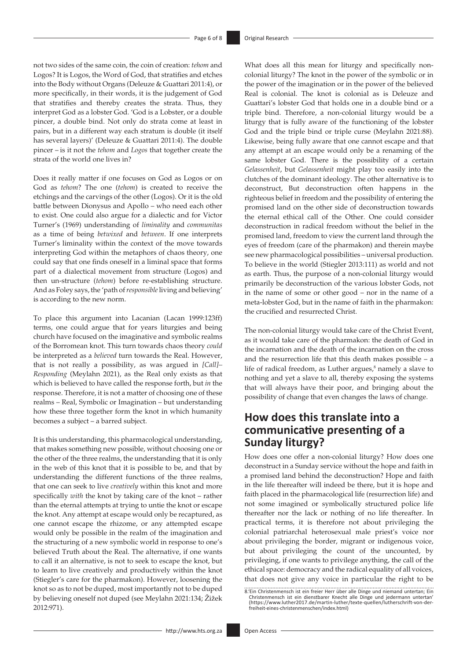not two sides of the same coin, the coin of creation: *tehom* and Logos? It is Logos, the Word of God, that stratifies and etches into the Body without Organs (Deleuze & Guattari 2011:4), or more specifically, in their words, it is the judgement of God that stratifies and thereby creates the strata. Thus, they interpret God as a lobster God. 'God is a Lobster, or a double pincer, a double bind. Not only do strata come at least in pairs, but in a different way each stratum is double (it itself has several layers)' (Deleuze & Guattari 2011:4). The double pincer – is it not the *tehom* and *Logos* that together create the strata of the world one lives in?

Does it really matter if one focuses on God as Logos or on God as *tehom*? The one (*tehom*) is created to receive the etchings and the carvings of the other (Logos). Or it is the old battle between Dionysus and Apollo – who need each other to exist. One could also argue for a dialectic and for Victor Turner's (1969) understanding of *liminality* and *communitas* as a time of being *betwixed* and *between*. If one interprets Turner's liminality within the context of the move towards interpreting God within the metaphors of chaos theory, one could say that one finds oneself in a liminal space that forms part of a dialectical movement from structure (Logos) and then un-structure (*tehom*) before re-establishing structure. And as Foley says, the 'path of *responsible* living and believing' is according to the new norm.

To place this argument into Lacanian (Lacan 1999:123ff) terms, one could argue that for years liturgies and being church have focused on the imaginative and symbolic realms of the Borromean knot. This turn towards chaos theory *could* be interpreted as a *believed* turn towards the Real. However, that is not really a possibility, as was argued in *[Call]– Responding* (Meylahn 2021), as the Real only exists as that which is believed to have called the response forth, but *in* the response. Therefore, it is not a matter of choosing one of these realms – Real, Symbolic or Imagination – but understanding how these three together form the knot in which humanity becomes a subject – a barred subject.

It is this understanding, this pharmacological understanding, that makes something new possible, without choosing one or the other of the three realms, the understanding that it is only in the web of this knot that it is possible to be, and that by understanding the different functions of the three realms, that one can seek to live *creatively* within this knot and more specifically *with* the knot by taking care of the knot – rather than the eternal attempts at trying to untie the knot or escape the knot. Any attempt at escape would only be recaptured, as one cannot escape the rhizome, or any attempted escape would only be possible in the realm of the imagination and the structuring of a new symbolic world in response to one's believed Truth about the Real. The alternative, if one wants to call it an alternative, is not to seek to escape the knot, but to learn to live creatively and productively within the knot (Stiegler's care for the pharmakon). However, loosening the knot so as to not be duped, most importantly not to be duped by believing oneself not duped (see Meylahn 2021:134; Žižek 2012:971).

What does all this mean for liturgy and specifically noncolonial liturgy? The knot in the power of the symbolic or in the power of the imagination or in the power of the believed Real is colonial. The knot is colonial as is Deleuze and Guattari's lobster God that holds one in a double bind or a triple bind. Therefore, a non-colonial liturgy would be a liturgy that is fully aware of the functioning of the lobster God and the triple bind or triple curse (Meylahn 2021:88). Likewise, being fully aware that one cannot escape and that any attempt at an escape would only be a renaming of the same lobster God. There is the possibility of a certain *Gelassenheit*, but *Gelassenheit* might play too easily into the clutches of the dominant ideology. The other alternative is to deconstruct, But deconstruction often happens in the righteous belief in freedom and the possibility of entering the promised land on the other side of deconstruction towards the eternal ethical call of the Other. One could consider deconstruction in radical freedom without the belief in the promised land, freedom to view the current land through the eyes of freedom (care of the pharmakon) and therein maybe see new pharmacological possibilities – universal production. To believe in the world (Stiegler 2013:111) as world and not as earth. Thus, the purpose of a non-colonial liturgy would primarily be deconstruction of the various lobster Gods, not in the name of some or other good – nor in the name of a meta-lobster God, but in the name of faith in the pharmakon: the crucified and resurrected Christ.

The non-colonial liturgy would take care of the Christ Event, as it would take care of the pharmakon: the death of God in the incarnation and the death of the incarnation on the cross and the resurrection life that this death makes possible – a life of radical freedom, as Luther argues, $\delta$  namely a slave to nothing and yet a slave to all, thereby exposing the systems that will always have their poor, and bringing about the possibility of change that even changes the laws of change.

# **How does this translate into a communicative presenting of a Sunday liturgy?**

How does one offer a non-colonial liturgy? How does one deconstruct in a Sunday service without the hope and faith in a promised land behind the deconstruction? Hope and faith in the life thereafter will indeed be there, but it is hope and faith placed in the pharmacological life (resurrection life) and not some imagined or symbolically structured police life thereafter nor the lack or nothing of no life thereafter. In practical terms, it is therefore not about privileging the colonial patriarchal heterosexual male priest's voice nor about privileging the border, migrant or indigenous voice, but about privileging the count of the uncounted, by privileging, if one wants to privilege anything, the call of the ethical space: democracy and the radical equality of all voices, that does not give any voice in particular the right to be

<sup>8.&#</sup>x27;Ein Christenmensch ist ein freier Herr über alle Dinge und niemand untertan; Ein Christenmensch ist ein dienstbarer Knecht alle Dinge und jedermann untertan' (https://www.luther2017.de/martin-luther1exte-quellen/luthers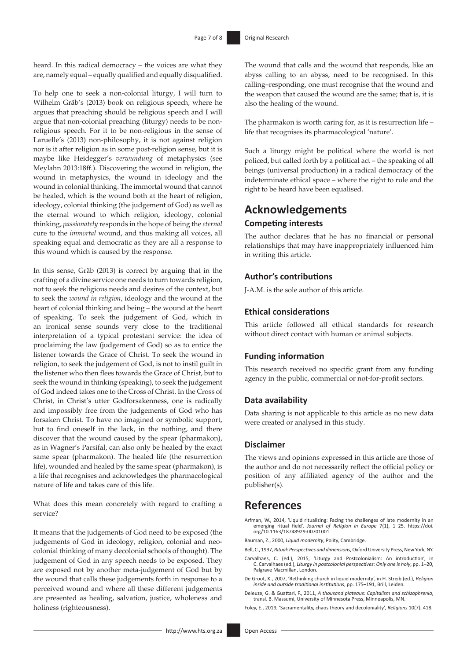heard. In this radical democracy – the voices are what they are, namely equal – equally qualified and equally disqualified.

To help one to seek a non-colonial liturgy, I will turn to Wilhelm Gräb's (2013) book on religious speech, where he argues that preaching should be religious speech and I will argue that non-colonial preaching (liturgy) needs to be nonreligious speech. For it to be non-religious in the sense of Laruelle's (2013) non-philosophy, it is not against religion nor is it after religion as in some post-religion sense, but it is maybe like Heidegger's *verwundung* of metaphysics (see Meylahn 2013:18ff.). Discovering the wound in religion, the wound in metaphysics, the wound in ideology and the wound in colonial thinking. The immortal wound that cannot be healed, which is the wound both at the heart of religion, ideology, colonial thinking (the judgement of God) as well as the eternal wound to which religion, ideology, colonial thinking, *passionately* responds in the hope of being the *eternal* cure to the *immortal* wound, and thus making all voices, all speaking equal and democratic as they are all a response to this wound which is caused by the response.

In this sense, Gräb (2013) is correct by arguing that in the crafting of a divine service one needs to turn towards religion, not to seek the religious needs and desires of the context, but to seek the *wound in religion*, ideology and the wound at the heart of colonial thinking and being – the wound at the heart of speaking. To seek the judgement of God, which in an ironical sense sounds very close to the traditional interpretation of a typical protestant service: the idea of proclaiming the law (judgement of God) so as to entice the listener towards the Grace of Christ. To seek the wound in religion, to seek the judgement of God, is not to instil guilt in the listener who then flees towards the Grace of Christ, but to seek the wound in thinking (speaking), to seek the judgement of God indeed takes one to the Cross of Christ. In the Cross of Christ, in Christ's utter Godforsakenness, one is radically and impossibly free from the judgements of God who has forsaken Christ. To have no imagined or symbolic support, but to find oneself in the lack, in the nothing, and there discover that the wound caused by the spear (pharmakon), as in Wagner's Parsifal, can also only be healed by the exact same spear (pharmakon). The healed life (the resurrection life), wounded and healed by the same spear (pharmakon), is a life that recognises and acknowledges the pharmacological nature of life and takes care of this life.

What does this mean concretely with regard to crafting a service?

It means that the judgements of God need to be exposed (the judgements of God in ideology, religion, colonial and neocolonial thinking of many decolonial schools of thought). The judgement of God in any speech needs to be exposed. They are exposed not by another meta-judgement of God but by the wound that calls these judgements forth in response to a perceived wound and where all these different judgements are presented as healing, salvation, justice, wholeness and holiness (righteousness).

The pharmakon is worth caring for, as it is resurrection life – life that recognises its pharmacological 'nature'.

Such a liturgy might be political where the world is not policed, but called forth by a political act – the speaking of all beings (universal production) in a radical democracy of the indeterminate ethical space – where the right to rule and the right to be heard have been equalised.

# **Acknowledgements Competing interests**

The author declares that he has no financial or personal relationships that may have inappropriately influenced him in writing this article.

### **Author's contributions**

J-A.M. is the sole author of this article.

### **Ethical considerations**

This article followed all ethical standards for research without direct contact with human or animal subjects.

### **Funding information**

This research received no specific grant from any funding agency in the public, commercial or not-for-profit sectors.

### **Data availability**

Data sharing is not applicable to this article as no new data were created or analysed in this study.

### **Disclaimer**

The views and opinions expressed in this article are those of the author and do not necessarily reflect the official policy or position of any affiliated agency of the author and the publisher(s).

## **References**

- Arfman, W., 2014, 'Liquid ritualizing: Facing the challenges of late modernity in an emerging ritual field', *Journal of Religion in Europe* 7(1), 1–25. [https://doi.](https://doi.org/10.1163/18748929-00701001) [org/10.1163/18748929-00701001](https://doi.org/10.1163/18748929-00701001)
- Bauman, Z., 2000, *Liquid modernity*, Polity, Cambridge.
- Bell, C., 1997, *Ritual: Perspectives and dimensions*, Oxford University Press, New York, NY.
- Carvalhaes, C. (ed.), 2015, 'Liturgy and Postcolonialism: An introduction', in C. Carvalhaes (ed.), *Liturgy in postcolonial perspectives: Only one is holy*, pp. 1–20, Palgrave Macmillan, London.
- De Groot, K., 2007, 'Rethinking church in liquid modernity', in H. Streib (ed.), *Religion inside and outside traditional institutions*, pp. 175–191, Brill, Leiden.
- Deleuze, G. & Guattari, F., 2011, *A thousand plateaus: Capitalism and schizophrenia*, transl. B. Massumi, University of Minnesota Press, Minneapolis, MN.

Foley, E., 2019, 'Sacramentality, chaos theory and decoloniality', *Religions* 10(7), 418.